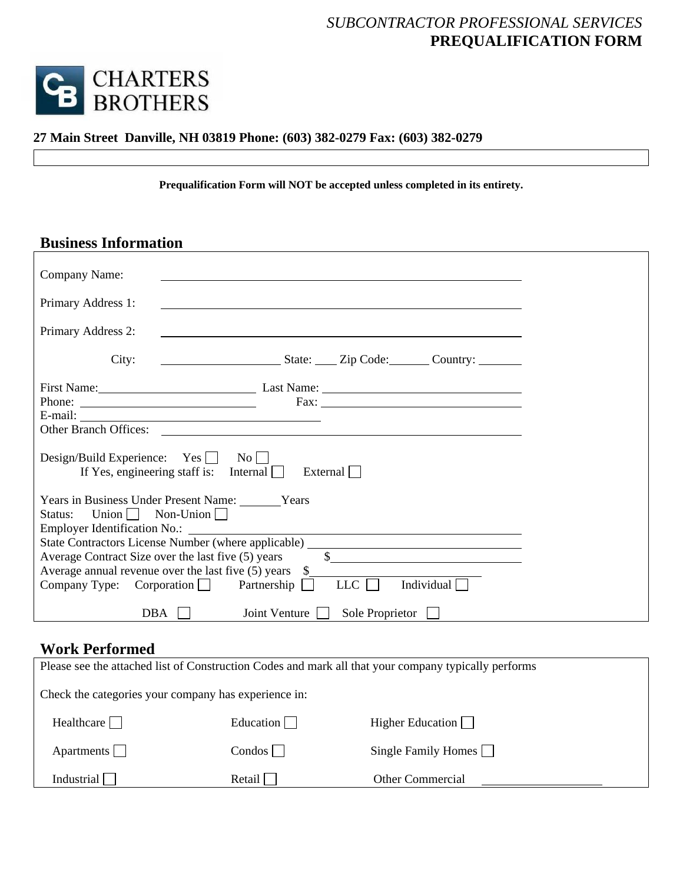## *SUBCONTRACTOR PROFESSIONAL SERVICES*  **PREQUALIFICATION FORM**



### **27 Main Street Danville, NH 03819 Phone: (603) 382-0279 Fax: (603) 382-0279**

**Prequalification Form will NOT be accepted unless completed in its entirety.** 

## **Business Information**

| Company Name:                                                                                                                                                                                                                                                                                                                                                                                                                                |                                                                                                                                         |                        |                                                                                                                                                                                                                                                                                            |
|----------------------------------------------------------------------------------------------------------------------------------------------------------------------------------------------------------------------------------------------------------------------------------------------------------------------------------------------------------------------------------------------------------------------------------------------|-----------------------------------------------------------------------------------------------------------------------------------------|------------------------|--------------------------------------------------------------------------------------------------------------------------------------------------------------------------------------------------------------------------------------------------------------------------------------------|
| Primary Address 1:                                                                                                                                                                                                                                                                                                                                                                                                                           |                                                                                                                                         |                        |                                                                                                                                                                                                                                                                                            |
| Primary Address 2:                                                                                                                                                                                                                                                                                                                                                                                                                           |                                                                                                                                         |                        |                                                                                                                                                                                                                                                                                            |
| City:                                                                                                                                                                                                                                                                                                                                                                                                                                        | State: <u>Zip Code: Country:</u>                                                                                                        |                        |                                                                                                                                                                                                                                                                                            |
|                                                                                                                                                                                                                                                                                                                                                                                                                                              | First Name: Last Name: Last Name:                                                                                                       |                        |                                                                                                                                                                                                                                                                                            |
| Phone: $\frac{1}{\sqrt{1-\frac{1}{2}}\sqrt{1-\frac{1}{2}}\sqrt{1-\frac{1}{2}}\sqrt{1-\frac{1}{2}}\sqrt{1-\frac{1}{2}}\sqrt{1-\frac{1}{2}}\sqrt{1-\frac{1}{2}}\sqrt{1-\frac{1}{2}}\sqrt{1-\frac{1}{2}}\sqrt{1-\frac{1}{2}}\sqrt{1-\frac{1}{2}}\sqrt{1-\frac{1}{2}}\sqrt{1-\frac{1}{2}}\sqrt{1-\frac{1}{2}}\sqrt{1-\frac{1}{2}}\sqrt{1-\frac{1}{2}}\sqrt{1-\frac{1}{2}}\sqrt{1-\frac{1}{2}}\sqrt{1-\frac{1}{2$<br><b>Other Branch Offices:</b> |                                                                                                                                         |                        | Fax: $\frac{1}{2}$ Fax: $\frac{1}{2}$ Fax: $\frac{1}{2}$ Fax: $\frac{1}{2}$ Fax: $\frac{1}{2}$ Fax: $\frac{1}{2}$ Fax: $\frac{1}{2}$ Fax: $\frac{1}{2}$ Fax: $\frac{1}{2}$ Fax: $\frac{1}{2}$ Fax: $\frac{1}{2}$ Fax: $\frac{1}{2}$ Fax: $\frac{1}{2}$ Fax: $\frac{1}{2}$ Fax: $\frac{1}{$ |
| $Design/Build$ Experience: Yes $\Box$                                                                                                                                                                                                                                                                                                                                                                                                        | $\rm\,No\,\Box$<br>If Yes, engineering staff is: Internal                                                                               | External               |                                                                                                                                                                                                                                                                                            |
| Union $\Box$ Non-Union $\Box$<br>Status:                                                                                                                                                                                                                                                                                                                                                                                                     | Years in Business Under Present Name: Vears                                                                                             |                        |                                                                                                                                                                                                                                                                                            |
|                                                                                                                                                                                                                                                                                                                                                                                                                                              | State Contractors License Number (where applicable) _____________________________<br>Average Contract Size over the last five (5) years |                        | $\frac{1}{2}$                                                                                                                                                                                                                                                                              |
|                                                                                                                                                                                                                                                                                                                                                                                                                                              | Average annual revenue over the last five $(5)$ years $\quad$<br>Company Type: Corporation Partnership                                  | LLC                    | Individual $\Box$                                                                                                                                                                                                                                                                          |
| <b>DBA</b>                                                                                                                                                                                                                                                                                                                                                                                                                                   | Joint Venture                                                                                                                           | Sole Proprietor $\Box$ |                                                                                                                                                                                                                                                                                            |

### **Work Performed**

| Please see the attached list of Construction Codes and mark all that your company typically performs |           |                            |  |  |
|------------------------------------------------------------------------------------------------------|-----------|----------------------------|--|--|
| Check the categories your company has experience in:                                                 |           |                            |  |  |
| Healthcare                                                                                           | Education | Higher Education $\Box$    |  |  |
| Apartments $\Box$                                                                                    | Condos    | Single Family Homes $\Box$ |  |  |
| Industrial<br>Retail<br><b>Other Commercial</b>                                                      |           |                            |  |  |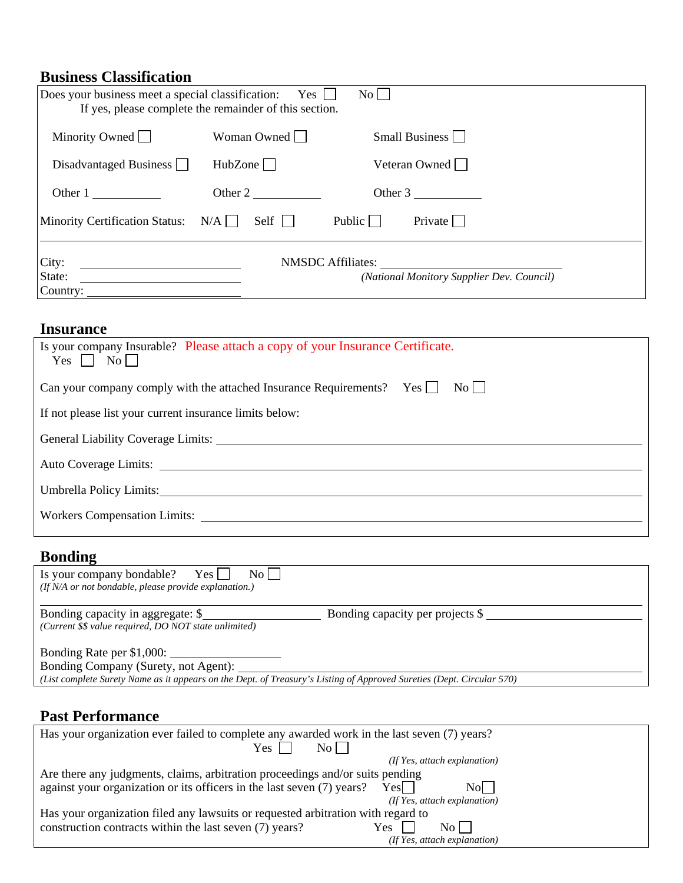# **Business Classification**

| Does your business meet a special classification:<br>If yes, please complete the remainder of this section. | $Yes \mid \mid$   | $\rm{No}$                                                      |  |
|-------------------------------------------------------------------------------------------------------------|-------------------|----------------------------------------------------------------|--|
| Minority Owned                                                                                              | Woman Owned       | Small Business $\Box$                                          |  |
| Disadvantaged Business                                                                                      | HubZone           | Veteran Owned                                                  |  |
| Other 1                                                                                                     | Other 2           | Other 3                                                        |  |
| $N/A$  <br><b>Minority Certification Status:</b>                                                            | $Self \mid \cdot$ | Public $\Box$<br>Private                                       |  |
| City:<br><u> 1980 - Jan Samuel Barbara, martin a</u><br>State:<br>Country:                                  |                   | NMSDC Affiliates:<br>(National Monitory Supplier Dev. Council) |  |

## **Insurance**

| Is your company Insurable? Please attach a copy of your Insurance Certificate.<br>$Yes \Box No \Box$           |
|----------------------------------------------------------------------------------------------------------------|
| Can your company comply with the attached Insurance Requirements? Yes<br>$\overline{N_0}$                      |
| If not please list your current insurance limits below:                                                        |
|                                                                                                                |
| Auto Coverage Limits:                                                                                          |
| Umbrella Policy Limits: 2008. [2010] [2010] [2010] [2010] [2010] [2010] [2010] [2010] [2010] [2010] [2010] [20 |
|                                                                                                                |

# **Bonding**

| Is your company bondable? Yes $\Box$<br>$\rm{No}$    <br>(If N/A or not bondable, please provide explanation.)                                                                             |                                  |  |  |  |
|--------------------------------------------------------------------------------------------------------------------------------------------------------------------------------------------|----------------------------------|--|--|--|
| Bonding capacity in aggregate: \$<br>(Current \$\$ value required, DO NOT state unlimited)                                                                                                 | Bonding capacity per projects \$ |  |  |  |
| Bonding Rate per \$1,000:<br>Bonding Company (Surety, not Agent):<br>(List complete Surety Name as it appears on the Dept. of Treasury's Listing of Approved Sureties (Dept. Circular 570) |                                  |  |  |  |

# **Past Performance**

| Has your organization ever failed to complete any awarded work in the last seven (7) years? |                                    |  |
|---------------------------------------------------------------------------------------------|------------------------------------|--|
| Yes<br>$\rm{No}$ $\vert$                                                                    |                                    |  |
|                                                                                             | (If Yes, attach explanation)       |  |
| Are there any judgments, claims, arbitration proceedings and/or suits pending               |                                    |  |
| against your organization or its officers in the last seven (7) years?                      | Yes I<br>Nol I                     |  |
|                                                                                             | (If Yes, attach explanation)       |  |
| Has your organization filed any lawsuits or requested arbitration with regard to            |                                    |  |
| construction contracts within the last seven (7) years?                                     | Yes<br>No L                        |  |
|                                                                                             | $($ If Yes, attach explanation $)$ |  |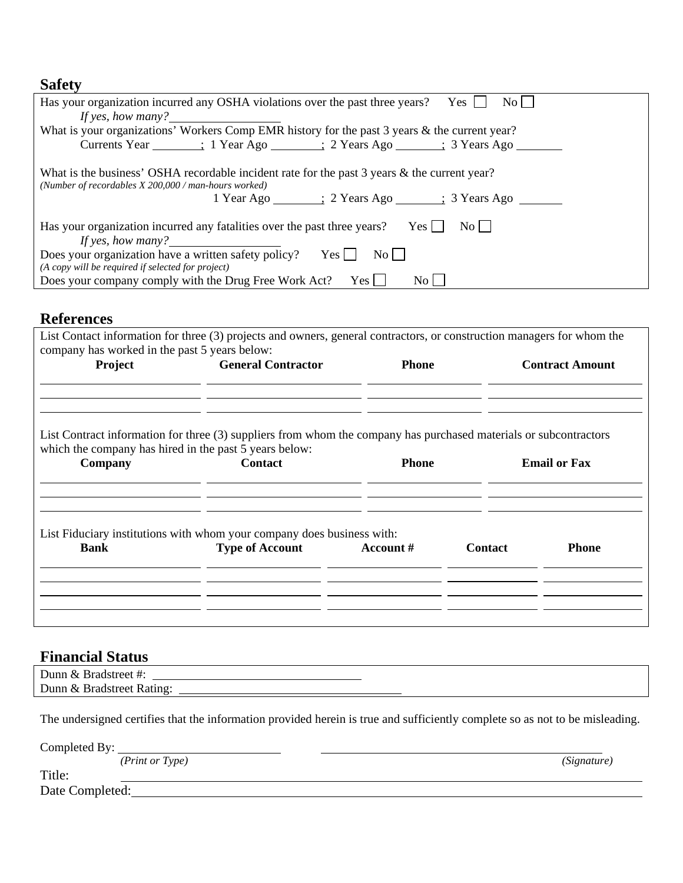### **Safety**

| $\rm{No}$    <br>Yes  <br>Has your organization incurred any OSHA violations over the past three years?<br>If yes, how many? $\frac{1}{2}$                                                                                     |
|--------------------------------------------------------------------------------------------------------------------------------------------------------------------------------------------------------------------------------|
| What is your organizations' Workers Comp EMR history for the past 3 years & the current year?                                                                                                                                  |
| Currents Year (1984) (1995) (1996) (1997) (1998) (1998) (1998) (1998) (1998) (1998) (1998) (1998) (1998) (1999) (1999) (1999) (1999) (1999) (1999) (1999) (1999) (1999) (1999) (1999) (1999) (1999) (1999) (1999) (1999) (1999 |
| What is the business' OSHA recordable incident rate for the past 3 years & the current year?<br>(Number of recordables $X$ 200,000 / man-hours worked)<br>1 Year Ago _______; 2 Years Ago ______; 3 Years Ago _______          |
| $\overline{N_{O}}$    <br>Has your organization incurred any fatalities over the past three years?<br>$Yes \mid \mid$<br>If yes, how many? $\frac{1}{2}$                                                                       |
| Does your organization have a written safety policy?<br>Yes    <br>No                                                                                                                                                          |
| (A copy will be required if selected for project)<br>Does your company comply with the Drug Free Work Act? Yes $\Box$<br>$\rm{No}$ $\Box$                                                                                      |

### **References**

| <b>General Contractor</b>                                                | <b>Phone</b> |                                                                        | <b>Contract Amount</b>                                                                                            |
|--------------------------------------------------------------------------|--------------|------------------------------------------------------------------------|-------------------------------------------------------------------------------------------------------------------|
| which the company has hired in the past 5 years below:<br><b>Contact</b> | <b>Phone</b> |                                                                        | <b>Email or Fax</b>                                                                                               |
| <b>Type of Account</b>                                                   | Account #    | <b>Contact</b>                                                         | <b>Phone</b>                                                                                                      |
|                                                                          |              | List Fiduciary institutions with whom your company does business with: | List Contract information for three (3) suppliers from whom the company has purchased materials or subcontractors |

### **Financial Status**

| Dunn & Bradstreet #:      |  |  |
|---------------------------|--|--|
| Dunn & Bradstreet Rating: |  |  |

The undersigned certifies that the information provided herein is true and sufficiently complete so as not to be misleading.

Completed By:

| ( <i>Print or Type</i> ) | (Signature) |
|--------------------------|-------------|

Title:

Date Completed: <u>Completed:</u> Completed: Completed: Completed: Completed: Completed: Complete Complete Complete Complete Complete Complete Complete Complete Complete Complete Complete Complete Complete Complete Complete Com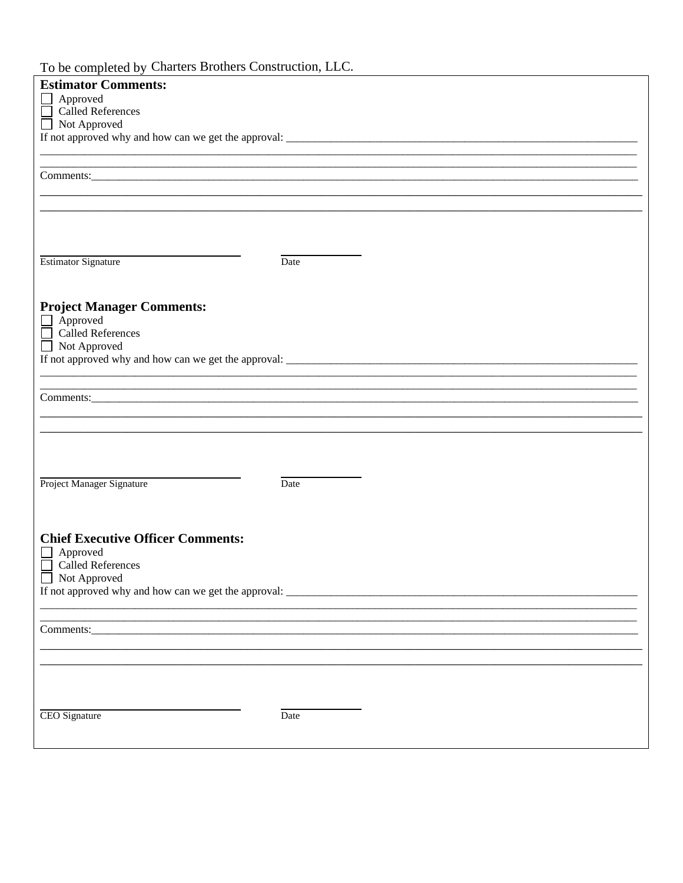#### To be completed by Charters Brothers Construction, LLC.

| To be completed by Charters Dromers Construction, LEC. |
|--------------------------------------------------------|
| <b>Estimator Comments:</b>                             |
|                                                        |
| $\Box$ Approved                                        |
| Called References                                      |
| □ Not Approved                                         |
|                                                        |
|                                                        |
|                                                        |
|                                                        |
|                                                        |
|                                                        |
|                                                        |
|                                                        |
|                                                        |
|                                                        |
|                                                        |
|                                                        |
|                                                        |
| <b>Estimator Signature</b><br>Date                     |
|                                                        |
|                                                        |
|                                                        |
|                                                        |
| <b>Project Manager Comments:</b>                       |
| $\Box$ Approved                                        |
| Called References                                      |
|                                                        |
| $\Box$ Not Approved                                    |
| If not approved why and how can we get the approval:   |
|                                                        |
|                                                        |
|                                                        |
|                                                        |
|                                                        |
|                                                        |
|                                                        |
|                                                        |
|                                                        |
|                                                        |
|                                                        |
|                                                        |
| Project Manager Signature<br>Date                      |
|                                                        |
|                                                        |
|                                                        |
|                                                        |
| <b>Chief Executive Officer Comments:</b>               |
|                                                        |
| Approved                                               |
| <b>Called References</b>                               |
| Not Approved                                           |
|                                                        |
|                                                        |
|                                                        |
|                                                        |
|                                                        |
|                                                        |
|                                                        |
|                                                        |
|                                                        |
|                                                        |
|                                                        |
|                                                        |
|                                                        |
|                                                        |
|                                                        |
| <b>CEO</b> Signature<br>Date                           |
|                                                        |
|                                                        |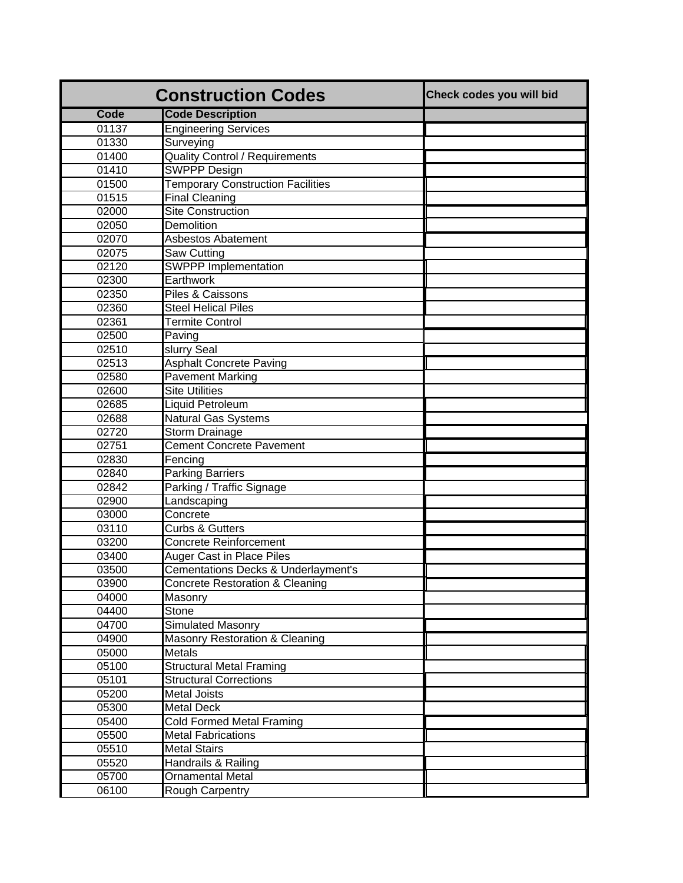|             | <b>Construction Codes</b>                | Check codes you will bid |
|-------------|------------------------------------------|--------------------------|
| <b>Code</b> | <b>Code Description</b>                  |                          |
| 01137       | <b>Engineering Services</b>              |                          |
| 01330       | Surveying                                |                          |
| 01400       | <b>Quality Control / Requirements</b>    |                          |
| 01410       | <b>SWPPP Design</b>                      |                          |
| 01500       | <b>Temporary Construction Facilities</b> |                          |
| 01515       | <b>Final Cleaning</b>                    |                          |
| 02000       | <b>Site Construction</b>                 |                          |
| 02050       | <b>Demolition</b>                        |                          |
| 02070       | <b>Asbestos Abatement</b>                |                          |
| 02075       | Saw Cutting                              |                          |
| 02120       | <b>SWPPP Implementation</b>              |                          |
| 02300       | Earthwork                                |                          |
| 02350       | Piles & Caissons                         |                          |
| 02360       | <b>Steel Helical Piles</b>               |                          |
| 02361       | <b>Termite Control</b>                   |                          |
| 02500       | Paving                                   |                          |
| 02510       | slurry Seal                              |                          |
| 02513       | <b>Asphalt Concrete Paving</b>           |                          |
| 02580       | <b>Pavement Marking</b>                  |                          |
| 02600       | <b>Site Utilities</b>                    |                          |
| 02685       | Liquid Petroleum                         |                          |
| 02688       | <b>Natural Gas Systems</b>               |                          |
| 02720       | Storm Drainage                           |                          |
| 02751       | <b>Cement Concrete Pavement</b>          |                          |
| 02830       | Fencing                                  |                          |
| 02840       | <b>Parking Barriers</b>                  |                          |
| 02842       | Parking / Traffic Signage                |                          |
| 02900       | Landscaping                              |                          |
| 03000       | Concrete                                 |                          |
| 03110       | <b>Curbs &amp; Gutters</b>               |                          |
| 03200       | <b>Concrete Reinforcement</b>            |                          |
| 03400       | <b>Auger Cast in Place Piles</b>         |                          |
| 03500       | Cementations Decks & Underlayment's      |                          |
| 03900       | Concrete Restoration & Cleaning          |                          |
| 04000       | Masonry                                  |                          |
| 04400       | Stone                                    |                          |
| 04700       | Simulated Masonry                        |                          |
| 04900       | Masonry Restoration & Cleaning           |                          |
| 05000       | <b>Metals</b>                            |                          |
| 05100       | <b>Structural Metal Framing</b>          |                          |
| 05101       | <b>Structural Corrections</b>            |                          |
| 05200       | <b>Metal Joists</b>                      |                          |
| 05300       | <b>Metal Deck</b>                        |                          |
| 05400       | Cold Formed Metal Framing                |                          |
| 05500       | <b>Metal Fabrications</b>                |                          |
| 05510       | <b>Metal Stairs</b>                      |                          |
| 05520       | Handrails & Railing                      |                          |
| 05700       | <b>Ornamental Metal</b>                  |                          |
| 06100       | Rough Carpentry                          |                          |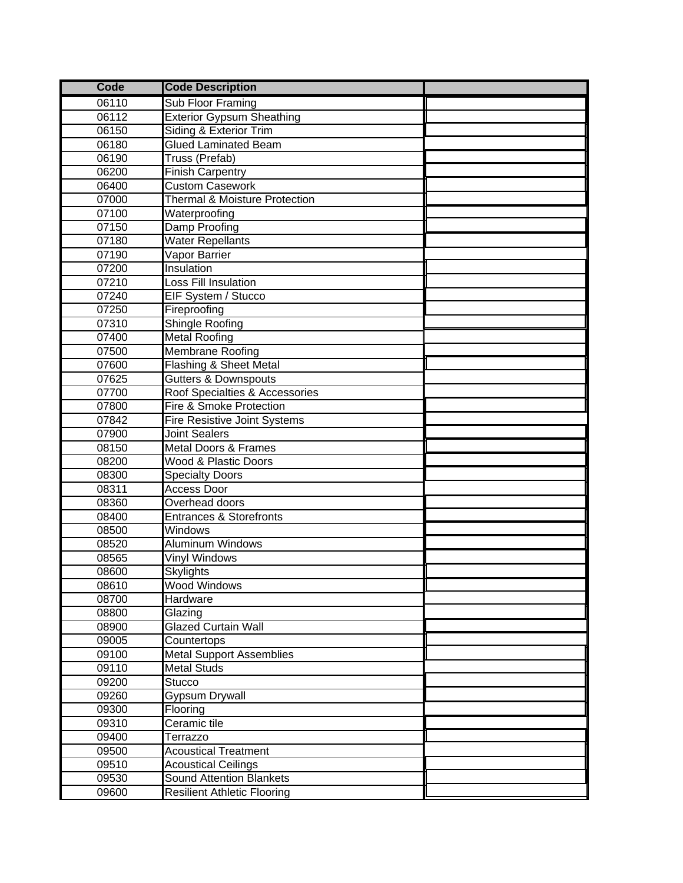| Code  | <b>Code Description</b>                  |  |
|-------|------------------------------------------|--|
| 06110 | Sub Floor Framing                        |  |
| 06112 | <b>Exterior Gypsum Sheathing</b>         |  |
| 06150 | Siding & Exterior Trim                   |  |
| 06180 | <b>Glued Laminated Beam</b>              |  |
| 06190 | Truss (Prefab)                           |  |
| 06200 | <b>Finish Carpentry</b>                  |  |
| 06400 | <b>Custom Casework</b>                   |  |
| 07000 | <b>Thermal &amp; Moisture Protection</b> |  |
| 07100 | Waterproofing                            |  |
| 07150 | <b>Damp Proofing</b>                     |  |
| 07180 | <b>Water Repellants</b>                  |  |
| 07190 | Vapor Barrier                            |  |
| 07200 | Insulation                               |  |
| 07210 | Loss Fill Insulation                     |  |
| 07240 | EIF System / Stucco                      |  |
| 07250 | Fireproofing                             |  |
| 07310 | <b>Shingle Roofing</b>                   |  |
| 07400 | <b>Metal Roofing</b>                     |  |
| 07500 | <b>Membrane Roofing</b>                  |  |
| 07600 | Flashing & Sheet Metal                   |  |
| 07625 | <b>Gutters &amp; Downspouts</b>          |  |
| 07700 | Roof Specialties & Accessories           |  |
| 07800 | Fire & Smoke Protection                  |  |
| 07842 | Fire Resistive Joint Systems             |  |
| 07900 | Joint Sealers                            |  |
| 08150 | <b>Metal Doors &amp; Frames</b>          |  |
| 08200 | Wood & Plastic Doors                     |  |
| 08300 | <b>Specialty Doors</b>                   |  |
| 08311 | Access Door                              |  |
| 08360 | Overhead doors                           |  |
| 08400 | <b>Entrances &amp; Storefronts</b>       |  |
| 08500 | Windows                                  |  |
| 08520 | <b>Aluminum Windows</b>                  |  |
| 08565 | Vinyl Windows                            |  |
| 08600 | Skylights                                |  |
| 08610 | Wood Windows                             |  |
| 08700 | Hardware                                 |  |
| 08800 | Glazing                                  |  |
| 08900 | <b>Glazed Curtain Wall</b>               |  |
| 09005 | Countertops                              |  |
| 09100 | <b>Metal Support Assemblies</b>          |  |
| 09110 | <b>Metal Studs</b>                       |  |
| 09200 | <b>Stucco</b>                            |  |
| 09260 | Gypsum Drywall                           |  |
| 09300 | Flooring                                 |  |
| 09310 | Ceramic tile                             |  |
| 09400 | Terrazzo                                 |  |
| 09500 | <b>Acoustical Treatment</b>              |  |
| 09510 | <b>Acoustical Ceilings</b>               |  |
| 09530 | <b>Sound Attention Blankets</b>          |  |
| 09600 | <b>Resilient Athletic Flooring</b>       |  |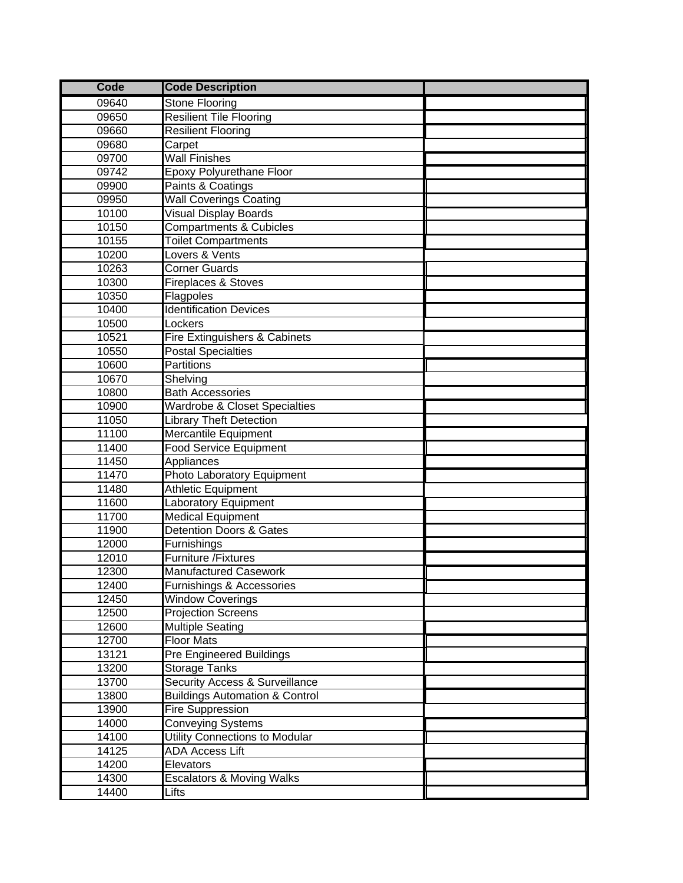| <b>Code</b> | <b>Code Description</b>                   |  |
|-------------|-------------------------------------------|--|
| 09640       | Stone Flooring                            |  |
| 09650       | <b>Resilient Tile Flooring</b>            |  |
| 09660       | <b>Resilient Flooring</b>                 |  |
| 09680       | Carpet                                    |  |
| 09700       | <b>Wall Finishes</b>                      |  |
| 09742       | Epoxy Polyurethane Floor                  |  |
| 09900       | Paints & Coatings                         |  |
| 09950       | <b>Wall Coverings Coating</b>             |  |
| 10100       | <b>Visual Display Boards</b>              |  |
| 10150       | <b>Compartments &amp; Cubicles</b>        |  |
| 10155       | <b>Toilet Compartments</b>                |  |
| 10200       | Lovers & Vents                            |  |
| 10263       | <b>Corner Guards</b>                      |  |
| 10300       | Fireplaces & Stoves                       |  |
| 10350       | Flagpoles                                 |  |
| 10400       | <b>Identification Devices</b>             |  |
| 10500       | Lockers                                   |  |
| 10521       | Fire Extinguishers & Cabinets             |  |
| 10550       | <b>Postal Specialties</b>                 |  |
| 10600       | Partitions                                |  |
| 10670       | Shelving                                  |  |
| 10800       | <b>Bath Accessories</b>                   |  |
| 10900       | Wardrobe & Closet Specialties             |  |
| 11050       | <b>Library Theft Detection</b>            |  |
| 11100       | Mercantile Equipment                      |  |
| 11400       | <b>Food Service Equipment</b>             |  |
| 11450       | Appliances                                |  |
| 11470       | Photo Laboratory Equipment                |  |
| 11480       | <b>Athletic Equipment</b>                 |  |
| 11600       | Laboratory Equipment                      |  |
| 11700       | <b>Medical Equipment</b>                  |  |
| 11900       | <b>Detention Doors &amp; Gates</b>        |  |
| 12000       | Furnishings                               |  |
| 12010       | Furniture /Fixtures                       |  |
| 12300       | Manufactured Casework                     |  |
| 12400       | Furnishings & Accessories                 |  |
| 12450       | <b>Window Coverings</b>                   |  |
| 12500       | <b>Projection Screens</b>                 |  |
| 12600       | <b>Multiple Seating</b>                   |  |
| 12700       | <b>Floor Mats</b>                         |  |
| 13121       | Pre Engineered Buildings                  |  |
| 13200       | <b>Storage Tanks</b>                      |  |
| 13700       | Security Access & Surveillance            |  |
| 13800       | <b>Buildings Automation &amp; Control</b> |  |
| 13900       | <b>Fire Suppression</b>                   |  |
| 14000       | Conveying Systems                         |  |
| 14100       | Utility Connections to Modular            |  |
| 14125       | <b>ADA Access Lift</b>                    |  |
| 14200       | Elevators                                 |  |
| 14300       | <b>Escalators &amp; Moving Walks</b>      |  |
| 14400       | Lifts                                     |  |